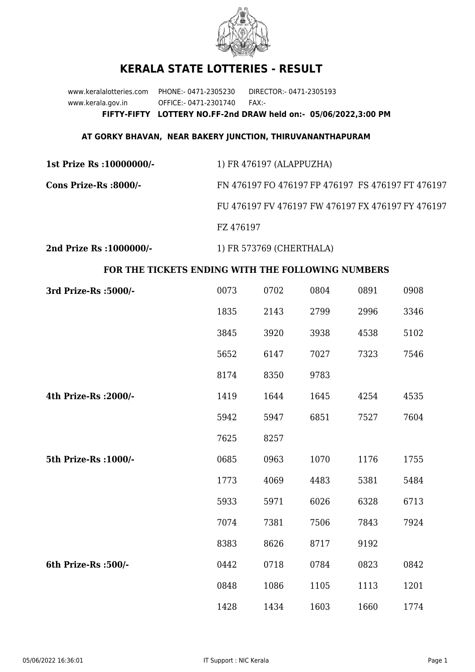

## **KERALA STATE LOTTERIES - RESULT**

www.keralalotteries.com PHONE:- 0471-2305230 DIRECTOR:- 0471-2305193 www.kerala.gov.in OFFICE:- 0471-2301740 FAX:- **FIFTY-FIFTY LOTTERY NO.FF-2nd DRAW held on:- 05/06/2022,3:00 PM**

## **AT GORKY BHAVAN, NEAR BAKERY JUNCTION, THIRUVANANTHAPURAM**

| 1st Prize Rs : 10000000/- | 1) FR 476197 (ALAPPUZHA)                          |
|---------------------------|---------------------------------------------------|
| Cons Prize-Rs :8000/-     | FN 476197 FO 476197 FP 476197 FS 476197 FT 476197 |
|                           | FU 476197 FV 476197 FW 476197 FX 476197 FY 476197 |
|                           | FZ 476197                                         |
|                           |                                                   |

**2nd Prize Rs :1000000/-** 1) FR 573769 (CHERTHALA)

## **FOR THE TICKETS ENDING WITH THE FOLLOWING NUMBERS**

| 3rd Prize-Rs : 5000/- | 0073 | 0702 | 0804 | 0891 | 0908 |
|-----------------------|------|------|------|------|------|
|                       | 1835 | 2143 | 2799 | 2996 | 3346 |
|                       | 3845 | 3920 | 3938 | 4538 | 5102 |
|                       | 5652 | 6147 | 7027 | 7323 | 7546 |
|                       | 8174 | 8350 | 9783 |      |      |
| 4th Prize-Rs : 2000/- | 1419 | 1644 | 1645 | 4254 | 4535 |
|                       | 5942 | 5947 | 6851 | 7527 | 7604 |
|                       | 7625 | 8257 |      |      |      |
| 5th Prize-Rs : 1000/- | 0685 | 0963 | 1070 | 1176 | 1755 |
|                       | 1773 | 4069 | 4483 | 5381 | 5484 |
|                       | 5933 | 5971 | 6026 | 6328 | 6713 |
|                       | 7074 | 7381 | 7506 | 7843 | 7924 |
|                       | 8383 | 8626 | 8717 | 9192 |      |
| 6th Prize-Rs :500/-   | 0442 | 0718 | 0784 | 0823 | 0842 |
|                       | 0848 | 1086 | 1105 | 1113 | 1201 |
|                       | 1428 | 1434 | 1603 | 1660 | 1774 |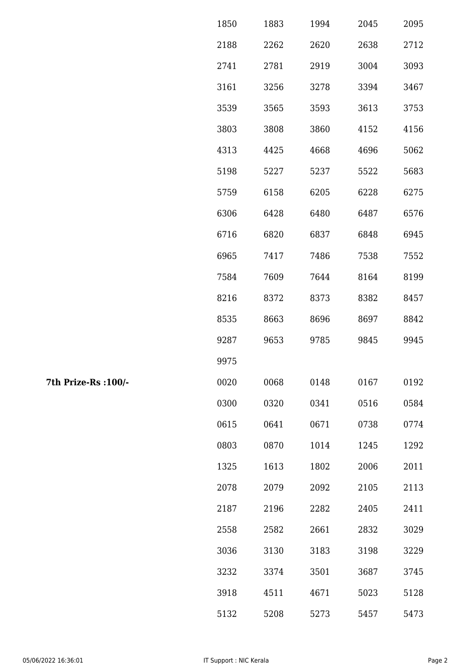| 1850 | 1883 | 1994 | 2045 | 2095 |
|------|------|------|------|------|
| 2188 | 2262 | 2620 | 2638 | 2712 |
| 2741 | 2781 | 2919 | 3004 | 3093 |
| 3161 | 3256 | 3278 | 3394 | 3467 |
| 3539 | 3565 | 3593 | 3613 | 3753 |
| 3803 | 3808 | 3860 | 4152 | 4156 |
| 4313 | 4425 | 4668 | 4696 | 5062 |
| 5198 | 5227 | 5237 | 5522 | 5683 |
| 5759 | 6158 | 6205 | 6228 | 6275 |
| 6306 | 6428 | 6480 | 6487 | 6576 |
| 6716 | 6820 | 6837 | 6848 | 6945 |
| 6965 | 7417 | 7486 | 7538 | 7552 |
| 7584 | 7609 | 7644 | 8164 | 8199 |
| 8216 | 8372 | 8373 | 8382 | 8457 |
| 8535 | 8663 | 8696 | 8697 | 8842 |
| 9287 | 9653 | 9785 | 9845 | 9945 |
| 9975 |      |      |      |      |
| 0020 | 0068 | 0148 | 0167 | 0192 |
| 0300 | 0320 | 0341 | 0516 | 0584 |
| 0615 | 0641 | 0671 | 0738 | 0774 |
| 0803 | 0870 | 1014 | 1245 | 1292 |
| 1325 | 1613 | 1802 | 2006 | 2011 |
| 2078 | 2079 | 2092 | 2105 | 2113 |
| 2187 | 2196 | 2282 | 2405 | 2411 |
| 2558 | 2582 | 2661 | 2832 | 3029 |
| 3036 | 3130 | 3183 | 3198 | 3229 |
| 3232 | 3374 | 3501 | 3687 | 3745 |
| 3918 | 4511 | 4671 | 5023 | 5128 |
| 5132 | 5208 | 5273 | 5457 | 5473 |

7th Prize-Rs : 100/-